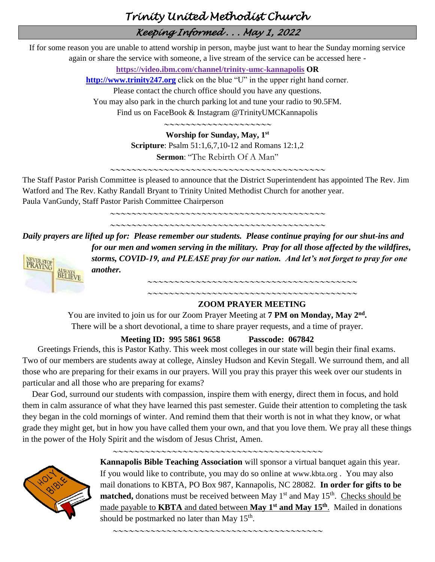## *Trinity United Methodist Church*

*Keeping Informed . . . May 1, 2022* 

If for some reason you are unable to attend worship in person, maybe just want to hear the Sunday morning service again or share the service with someone, a live stream of the service can be accessed here -

**[https://video.ibm.com/channel/trinity-umc-kannapolis](https://urldefense.com/v3/__https:/video.ibm.com/channel/trinity-umc-kannapolis__;!!HYmSToo!O_AQDNU4miAwgnlydzcuJUzGxUGjCvm3b8bHKBm8Es0r8DPO74UhINfsvKUZar7CctzZhVvy$) OR**

**[http://www.trinity247.org](https://urldefense.com/v3/__http:/www.trinity247.org__;!!HYmSToo!O_AQDNU4miAwgnlydzcuJUzGxUGjCvm3b8bHKBm8Es0r8DPO74UhINfsvKUZar7CcuIfwifo$)** click on the blue "U" in the upper right hand corner.

Please contact the church office should you have any questions.

You may also park in the church parking lot and tune your radio to 90.5FM.

Find us on FaceBook & Instagram @TrinityUMCKannapolis

*~~~~~~~~~~~~~~~~~~~~*

**Worship for Sunday, May, 1st**

**Scripture**: Psalm 51:1,6,7,10-12 and Romans 12:1,2 **Sermon**: "The Rebirth Of A Man"

*~~~~~~~~~~~~~~~~~~~~~~~~~~~~~~~~~~~~~~~~*

The Staff Pastor Parish Committee is pleased to announce that the District Superintendent has appointed The Rev. Jim Watford and The Rev. Kathy Randall Bryant to Trinity United Methodist Church for another year. Paula VanGundy, Staff Pastor Parish Committee Chairperson

*~~~~~~~~~~~~~~~~~~~~~~~~~~~~~~~~~~~~~~~~*

*~~~~~~~~~~~~~~~~~~~~~~~~~~~~~~~~~~~~~~~~ Daily prayers are lifted up for: Please remember our students. Please continue praying for our shut-ins and* 

*for our men and women serving in the military. Pray for all those affected by the wildfires, storms, COVID-19, and PLEASE pray for our nation. And let's not forget to pray for one*  PRAYING *another.*

*~~~~~~~~~~~~~~~~~~~~~~~~~~~~~~~~~~~~~~~*

#### *~~~~~~~~~~~~~~~~~~~~~~~~~~~~~~~~~~~~~~~*

## **ZOOM PRAYER MEETING**

You are invited to join us for our Zoom Prayer Meeting at **7 PM on Monday, May 2nd .** There will be a short devotional, a time to share prayer requests, and a time of prayer.

## **Meeting ID: 995 5861 9658 Passcode: 067842**

Greetings Friends, this is Pastor Kathy. This week most colleges in our state will begin their final exams. Two of our members are students away at college, Ainsley Hudson and Kevin Stegall. We surround them, and all those who are preparing for their exams in our prayers. Will you pray this prayer this week over our students in particular and all those who are preparing for exams?

Dear God, surround our students with compassion, inspire them with energy, direct them in focus, and hold them in calm assurance of what they have learned this past semester. Guide their attention to completing the task they began in the cold mornings of winter. And remind them that their worth is not in what they know, or what grade they might get, but in how you have called them your own, and that you love them. We pray all these things in the power of the Holy Spirit and the wisdom of Jesus Christ, Amen.

#### *~~~~~~~~~~~~~~~~~~~~~~~~~~~~~~~~~~~~~~~*



**Kannapolis Bible Teaching Association** will sponsor a virtual banquet again this year. If you would like to contribute, you may do so online at [www.kbta.org](http://www.kbta.org/) . You may also mail donations to KBTA, PO Box 987, Kannapolis, NC 28082. **In order for gifts to be matched,** donations must be received between May 1<sup>st</sup> and May 15<sup>th</sup>. Checks should be made payable to **KBTA** and dated between May 1<sup>st</sup> and May 15<sup>th</sup>. Mailed in donations should be postmarked no later than May  $15<sup>th</sup>$ .

*~~~~~~~~~~~~~~~~~~~~~~~~~~~~~~~~~~~~~~~*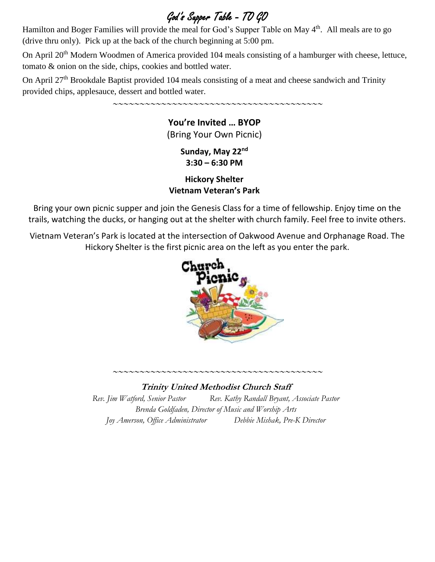# God's Supper Table - TO GO

Hamilton and Boger Families will provide the meal for God's Supper Table on May 4<sup>th</sup>. All meals are to go (drive thru only). Pick up at the back of the church beginning at 5:00 pm.

On April 20<sup>th</sup> Modern Woodmen of America provided 104 meals consisting of a hamburger with cheese, lettuce, tomato & onion on the side, chips, cookies and bottled water.

On April 27<sup>th</sup> Brookdale Baptist provided 104 meals consisting of a meat and cheese sandwich and Trinity provided chips, applesauce, dessert and bottled water.

*~~~~~~~~~~~~~~~~~~~~~~~~~~~~~~~~~~~~~~~*

**You're Invited … BYOP** (Bring Your Own Picnic)

> **Sunday, May 22nd 3:30 – 6:30 PM**

## **Hickory Shelter Vietnam Veteran's Park**

Bring your own picnic supper and join the Genesis Class for a time of fellowship. Enjoy time on the trails, watching the ducks, or hanging out at the shelter with church family. Feel free to invite others.

Vietnam Veteran's Park is located at the intersection of Oakwood Avenue and Orphanage Road. The Hickory Shelter is the first picnic area on the left as you enter the park.



## **Trinity United Methodist Church Staff**

*~~~~~~~~~~~~~~~~~~~~~~~~~~~~~~~~~~~~~~~*

*Rev. Jim Watford, Senior Pastor Rev. Kathy Randall Bryant, Associate Pastor Brenda Goldfaden, Director of Music and Worship Arts Joy Amerson, Office Administrator Debbie Mishak, Pre-K Director*